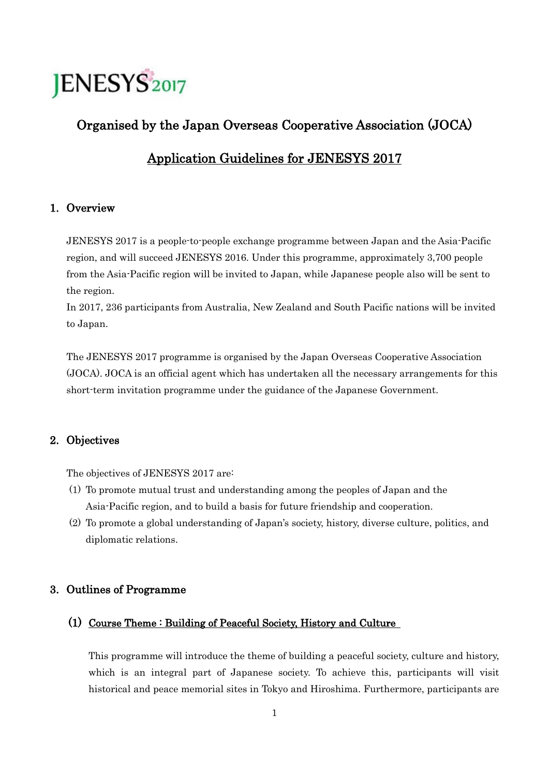# **JENESYS2017**

# Organised by the Japan Overseas Cooperative Association (JOCA)

# Application Guidelines for JENESYS 2017

# 1. Overview

JENESYS 2017 is a people-to-people exchange programme between Japan and the Asia-Pacific region, and will succeed JENESYS 2016. Under this programme, approximately 3,700 people from the Asia-Pacific region will be invited to Japan, while Japanese people also will be sent to the region.

In 2017, 236 participants from Australia, New Zealand and South Pacific nations will be invited to Japan.

The JENESYS 2017 programme is organised by the Japan Overseas Cooperative Association (JOCA). JOCA is an official agent which has undertaken all the necessary arrangements for this short-term invitation programme under the guidance of the Japanese Government.

# 2. Objectives

The objectives of JENESYS 2017 are:

- (1) To promote mutual trust and understanding among the peoples of Japan and the Asia-Pacific region, and to build a basis for future friendship and cooperation.
- (2) To promote a global understanding of Japan's society, history, diverse culture, politics, and diplomatic relations.

# 3. Outlines of Programme

# (1) Course Theme : Building of Peaceful Society, History and Culture

This programme will introduce the theme of building a peaceful society, culture and history, which is an integral part of Japanese society. To achieve this, participants will visit historical and peace memorial sites in Tokyo and Hiroshima. Furthermore, participants are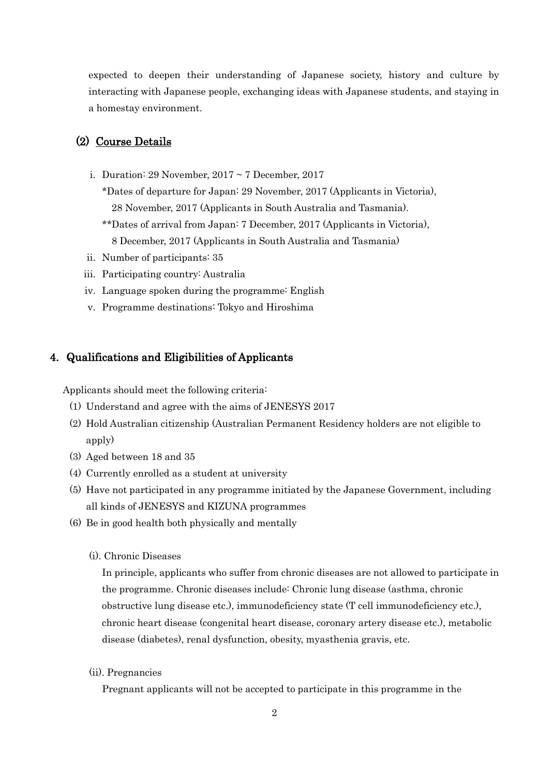expected to deepen their understanding of Japanese society, history and culture by interacting with Japanese people, exchanging ideas with Japanese students, and staying in a homestay environment.

## (2) Course Details

- i. Duration: 29 November,  $2017 \sim 7$  December, 2017
	- \*Dates of departure for Japan: 29 November, 2017 (Applicants in Victoria), 28 November, 2017 (Applicants in South Australia and Tasmania).
	- \*\*Dates of arrival from Japan: 7 December, 2017 (Applicants in Victoria), 8 December, 2017 (Applicants in South Australia and Tasmania)
- ii. Number of participants: 35
- iii. Participating country: Australia
- iv. Language spoken during the programme: English
- v. Programme destinations: Tokyo and Hiroshima

#### 4. Qualifications and Eligibilities of Applicants

Applicants should meet the following criteria:

- (1) Understand and agree with the aims of JENESYS 2017
- (2) Hold Australian citizenship (Australian Permanent Residency holders are not eligible to apply)
- (3) Aged between 18 and 35
- (4) Currently enrolled as a student at university
- (5) Have not participated in any programme initiated by the Japanese Government, including all kinds of JENESYS and KIZUNA programmes
- (6) Be in good health both physically and mentally
	- (i). Chronic Diseases

In principle, applicants who suffer from chronic diseases are not allowed to participate in the programme. Chronic diseases include: Chronic lung disease (asthma, chronic obstructive lung disease etc.), immunodeficiency state (T cell immunodeficiency etc.), chronic heart disease (congenital heart disease, coronary artery disease etc.), metabolic disease (diabetes), renal dysfunction, obesity, myasthenia gravis, etc.

(ii). Pregnancies

Pregnant applicants will not be accepted to participate in this programme in the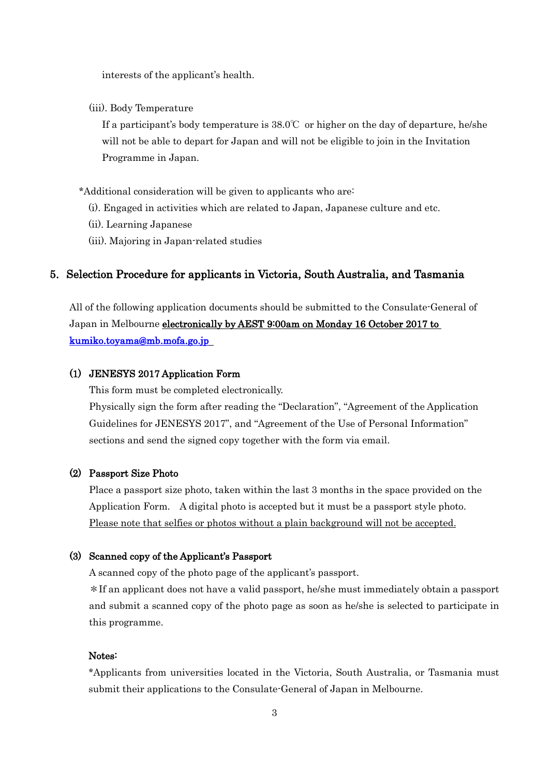interests of the applicant's health.

(iii). Body Temperature

If a participant's body temperature is  $38.0^{\circ}$  or higher on the day of departure, he/she will not be able to depart for Japan and will not be eligible to join in the Invitation Programme in Japan.

\*Additional consideration will be given to applicants who are:

- (i). Engaged in activities which are related to Japan, Japanese culture and etc.
- (ii). Learning Japanese
- (iii). Majoring in Japan-related studies

## 5. Selection Procedure for applicants in Victoria, South Australia, and Tasmania

All of the following application documents should be submitted to the Consulate-General of Japan in Melbourne *electronically by AEST 9:00am on Monday 16 October 2017 to* [kumiko.toyama@mb.mofa.go.jp](mailto:kumiko.toyama@mb.mofa.go.jp) 

#### (1) JENESYS 2017 Application Form

This form must be completed electronically.

Physically sign the form after reading the "Declaration", "Agreement of the Application Guidelines for JENESYS 2017", and "Agreement of the Use of Personal Information" sections and send the signed copy together with the form via email.

#### (2) Passport Size Photo

Place a passport size photo, taken within the last 3 months in the space provided on the Application Form. A digital photo is accepted but it must be a passport style photo. Please note that selfies or photos without a plain background will not be accepted.

#### (3) Scanned copy of the Applicant's Passport

A scanned copy of the photo page of the applicant's passport.

\*If an applicant does not have a valid passport, he/she must immediately obtain a passport and submit a scanned copy of the photo page as soon as he/she is selected to participate in this programme.

#### Notes:

\*Applicants from universities located in the Victoria, South Australia, or Tasmania must submit their applications to the Consulate-General of Japan in Melbourne.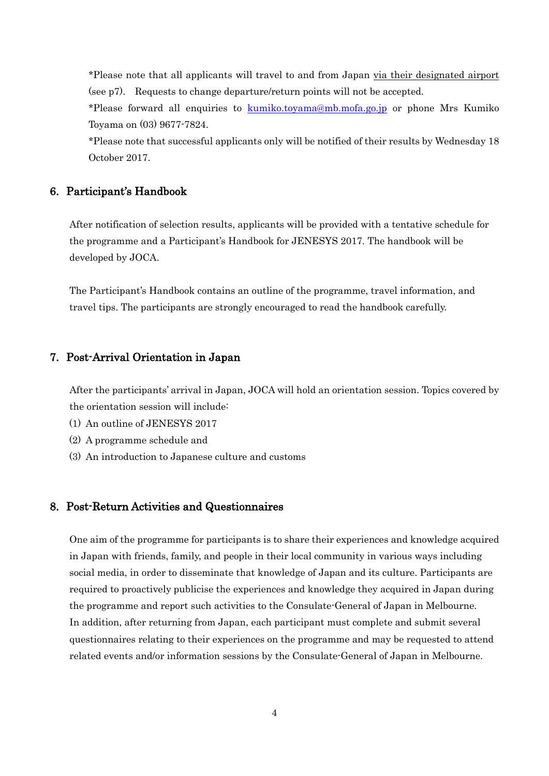\*Please note that all applicants will travel to and from Japan via their designated airport (see p7). Requests to change departure/return points will not be accepted.

\*Please forward all enquiries to [kumiko.toyama@mb.mofa.go.jp](mailto:kumiko.toyama@mb.mofa.go.jp) or phone Mrs Kumiko Toyama on (03) 9677-7824.

\*Please note that successful applicants only will be notified of their results by Wednesday 18 October 2017.

# 6. Participant's Handbook

After notification of selection results, applicants will be provided with a tentative schedule for the programme and a Participant's Handbook for JENESYS 2017. The handbook will be developed by JOCA.

The Participant's Handbook contains an outline of the programme, travel information, and travel tips. The participants are strongly encouraged to read the handbook carefully.

# 7. Post-Arrival Orientation in Japan

After the participants' arrival in Japan, JOCA will hold an orientation session. Topics covered by the orientation session will include:

- (1) An outline of JENESYS 2017
- (2) A programme schedule and
- (3) An introduction to Japanese culture and customs

## 8. Post-Return Activities and Questionnaires

One aim of the programme for participants is to share their experiences and knowledge acquired in Japan with friends, family, and people in their local community in various ways including social media, in order to disseminate that knowledge of Japan and its culture. Participants are required to proactively publicise the experiences and knowledge they acquired in Japan during the programme and report such activities to the Consulate-General of Japan in Melbourne. In addition, after returning from Japan, each participant must complete and submit several questionnaires relating to their experiences on the programme and may be requested to attend related events and/or information sessions by the Consulate-General of Japan in Melbourne.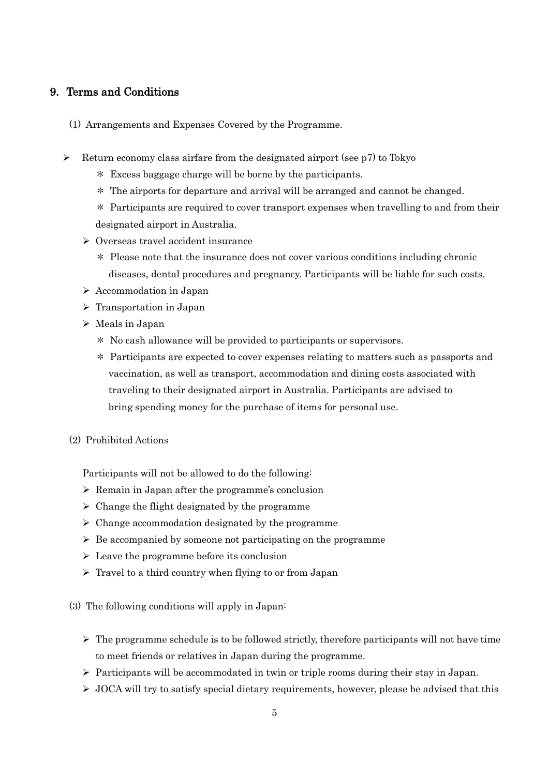# 9. Terms and Conditions

- (1) Arrangements and Expenses Covered by the Programme.
- $\triangleright$  Return economy class airfare from the designated airport (see p7) to Tokyo
	- \* Excess baggage charge will be borne by the participants.
	- \* The airports for departure and arrival will be arranged and cannot be changed.
	- \* Participants are required to cover transport expenses when travelling to and from their designated airport in Australia.
	- Overseas travel accident insurance
		- \* Please note that the insurance does not cover various conditions including chronic diseases, dental procedures and pregnancy. Participants will be liable for such costs.
	- Accommodation in Japan
	- $\triangleright$  Transportation in Japan
	- $\triangleright$  Meals in Japan
		- \* No cash allowance will be provided to participants or supervisors.
		- \* Participants are expected to cover expenses relating to matters such as passports and vaccination, as well as transport, accommodation and dining costs associated with traveling to their designated airport in Australia. Participants are advised to bring spending money for the purchase of items for personal use.
	- (2) Prohibited Actions

Participants will not be allowed to do the following:

- $\triangleright$  Remain in Japan after the programme's conclusion
- $\triangleright$  Change the flight designated by the programme
- $\triangleright$  Change accommodation designated by the programme
- $\triangleright$  Be accompanied by someone not participating on the programme
- $\triangleright$  Leave the programme before its conclusion
- $\triangleright$  Travel to a third country when flying to or from Japan
- (3) The following conditions will apply in Japan:
	- $\triangleright$  The programme schedule is to be followed strictly, therefore participants will not have time to meet friends or relatives in Japan during the programme.
	- $\triangleright$  Participants will be accommodated in twin or triple rooms during their stay in Japan.
	- $\triangleright$  JOCA will try to satisfy special dietary requirements, however, please be advised that this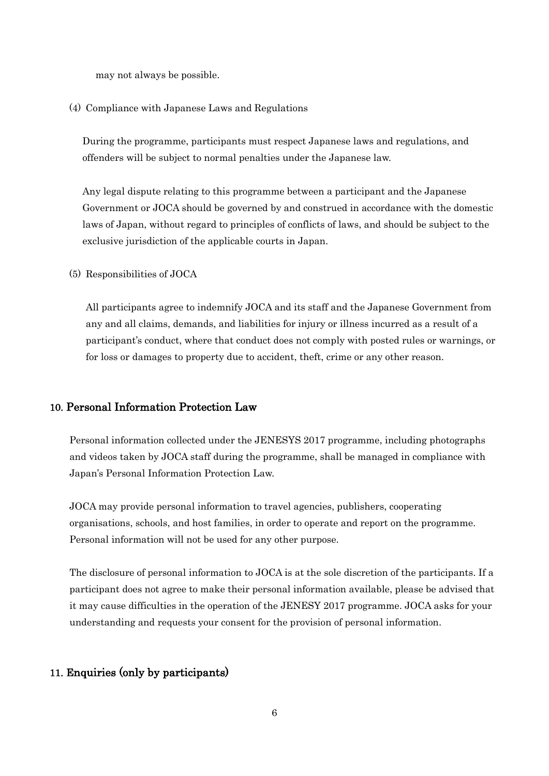may not always be possible.

#### (4) Compliance with Japanese Laws and Regulations

During the programme, participants must respect Japanese laws and regulations, and offenders will be subject to normal penalties under the Japanese law.

Any legal dispute relating to this programme between a participant and the Japanese Government or JOCA should be governed by and construed in accordance with the domestic laws of Japan, without regard to principles of conflicts of laws, and should be subject to the exclusive jurisdiction of the applicable courts in Japan.

#### (5) Responsibilities of JOCA

All participants agree to indemnify JOCA and its staff and the Japanese Government from any and all claims, demands, and liabilities for injury or illness incurred as a result of a participant's conduct, where that conduct does not comply with posted rules or warnings, or for loss or damages to property due to accident, theft, crime or any other reason.

#### 10. Personal Information Protection Law

Personal information collected under the JENESYS 2017 programme, including photographs and videos taken by JOCA staff during the programme, shall be managed in compliance with Japan's Personal Information Protection Law.

JOCA may provide personal information to travel agencies, publishers, cooperating organisations, schools, and host families, in order to operate and report on the programme. Personal information will not be used for any other purpose.

The disclosure of personal information to JOCA is at the sole discretion of the participants. If a participant does not agree to make their personal information available, please be advised that it may cause difficulties in the operation of the JENESY 2017 programme. JOCA asks for your understanding and requests your consent for the provision of personal information.

# 11. Enquiries (only by participants)